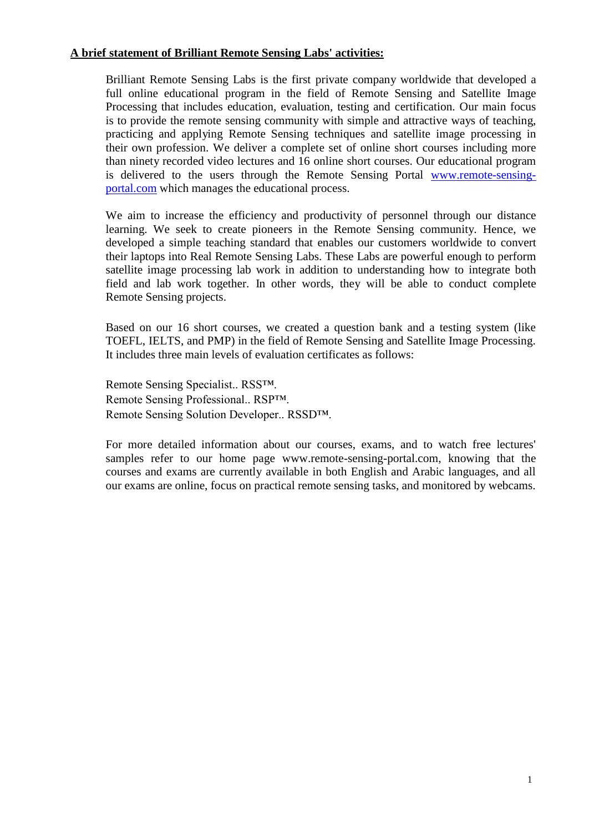### **A brief statement of Brilliant Remote Sensing Labs' activities:**

Brilliant Remote Sensing Labs is the first private company worldwide that developed a full online educational program in the field of Remote Sensing and Satellite Image Processing that includes education, evaluation, testing and certification. Our main focus is to provide the remote sensing community with simple and attractive ways of teaching, practicing and applying Remote Sensing techniques and satellite image processing in their own profession. We deliver a complete set of online short courses including more than ninety recorded video lectures and 16 online short courses. Our educational program is delivered to the users through the Remote Sensing Portal [www.remote-sensing](http://www.remote-sensing-portal.com/)[portal.com](http://www.remote-sensing-portal.com/) which manages the educational process.

We aim to increase the efficiency and productivity of personnel through our distance learning. We seek to create pioneers in the Remote Sensing community. Hence, we developed a simple teaching standard that enables our customers worldwide to convert their laptops into Real Remote Sensing Labs. These Labs are powerful enough to perform satellite image processing lab work in addition to understanding how to integrate both field and lab work together. In other words, they will be able to conduct complete Remote Sensing projects.

Based on our 16 short courses, we created a question bank and a testing system (like TOEFL, IELTS, and PMP) in the field of Remote Sensing and Satellite Image Processing. It includes three main levels of evaluation certificates as follows:

Remote Sensing Specialist.. RSS™. Remote Sensing Professional.. RSP™. Remote Sensing Solution Developer.. RSSD™.

For more detailed information about our courses, exams, and to watch free lectures' samples refer to our home page [www.remote-sensing-portal.com,](http://www.remote-sensing-portal.com/) knowing that the courses and exams are currently available in both English and Arabic languages, and all our exams are online, focus on practical remote sensing tasks, and monitored by webcams.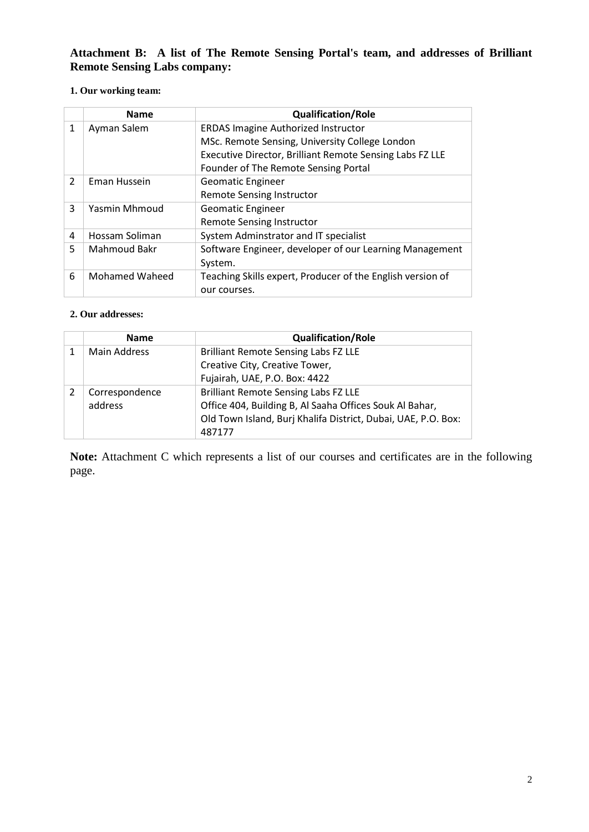**Attachment B: A list of The Remote Sensing Portal's team, and addresses of Brilliant Remote Sensing Labs company:**

### **1. Our working team:**

|               | <b>Name</b>    | <b>Qualification/Role</b>                                  |
|---------------|----------------|------------------------------------------------------------|
| 1             | Ayman Salem    | <b>ERDAS Imagine Authorized Instructor</b>                 |
|               |                | MSc. Remote Sensing, University College London             |
|               |                | Executive Director, Brilliant Remote Sensing Labs FZ LLE   |
|               |                | Founder of The Remote Sensing Portal                       |
| $\mathcal{P}$ | Eman Hussein   | <b>Geomatic Engineer</b>                                   |
|               |                | <b>Remote Sensing Instructor</b>                           |
| 3             | Yasmin Mhmoud  | <b>Geomatic Engineer</b>                                   |
|               |                | <b>Remote Sensing Instructor</b>                           |
| 4             | Hossam Soliman | System Adminstrator and IT specialist                      |
| 5             | Mahmoud Bakr   | Software Engineer, developer of our Learning Management    |
|               |                | System.                                                    |
| 6             | Mohamed Waheed | Teaching Skills expert, Producer of the English version of |
|               |                | our courses.                                               |

#### **2. Our addresses:**

| <b>Name</b>         | <b>Qualification/Role</b>                                     |
|---------------------|---------------------------------------------------------------|
| <b>Main Address</b> | <b>Brilliant Remote Sensing Labs FZ LLE</b>                   |
|                     | Creative City, Creative Tower,                                |
|                     | Fujairah, UAE, P.O. Box: 4422                                 |
| Correspondence      | <b>Brilliant Remote Sensing Labs FZ LLE</b>                   |
| address             | Office 404, Building B, Al Saaha Offices Souk Al Bahar,       |
|                     | Old Town Island, Burj Khalifa District, Dubai, UAE, P.O. Box: |
|                     | 487177                                                        |

**Note:** Attachment C which represents a list of our courses and certificates are in the following page.